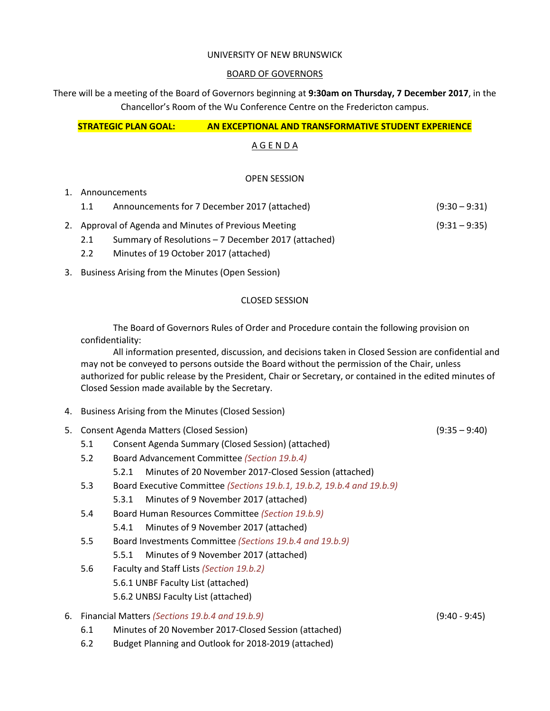#### UNIVERSITY OF NEW BRUNSWICK

#### BOARD OF GOVERNORS

There will be a meeting of the Board of Governors beginning at **9:30am on Thursday, 7 December 2017**, in the Chancellor's Room of the Wu Conference Centre on the Fredericton campus.

# **STRATEGIC PLAN GOAL: AN EXCEPTIONAL AND TRANSFORMATIVE STUDENT EXPERIENCE**

# A G E N D A

## OPEN SESSION

### 1. Announcements

- 1.1 Announcements for 7 December 2017 (attached) (9:30 9:31) 2. Approval of Agenda and Minutes of Previous Meeting (9:31 – 9:35)
	- 2.1 Summary of Resolutions 7 December 2017 (attached)
	- 2.2 Minutes of 19 October 2017 (attached)
- 3. Business Arising from the Minutes (Open Session)

### CLOSED SESSION

The Board of Governors Rules of Order and Procedure contain the following provision on confidentiality:

All information presented, discussion, and decisions taken in Closed Session are confidential and may not be conveyed to persons outside the Board without the permission of the Chair, unless authorized for public release by the President, Chair or Secretary, or contained in the edited minutes of Closed Session made available by the Secretary.

- 4. Business Arising from the Minutes (Closed Session)
- 5. Consent Agenda Matters (Closed Session) (9:35 9:40)
	- 5.1 Consent Agenda Summary (Closed Session) (attached)
	- 5.2 Board Advancement Committee *(Section 19.b.4)*
		- 5.2.1 Minutes of 20 November 2017-Closed Session (attached)
	- 5.3 Board Executive Committee *(Sections 19.b.1, 19.b.2, 19.b.4 and 19.b.9)*

5.3.1 Minutes of 9 November 2017 (attached)

- 5.4 Board Human Resources Committee *(Section 19.b.9)*
	- 5.4.1 Minutes of 9 November 2017 (attached)
- 5.5 Board Investments Committee *(Sections 19.b.4 and 19.b.9)*
	- 5.5.1 Minutes of 9 November 2017 (attached)
- 5.6 Faculty and Staff Lists *(Section 19.b.2)* 5.6.1 UNBF Faculty List (attached) 5.6.2 UNBSJ Faculty List (attached)

## 6. Financial Matters *(Sections 19.b.4 and 19.b.9)* (9:40 - 9:45)

- 6.1 Minutes of 20 November 2017-Closed Session (attached)
- 6.2 Budget Planning and Outlook for 2018-2019 (attached)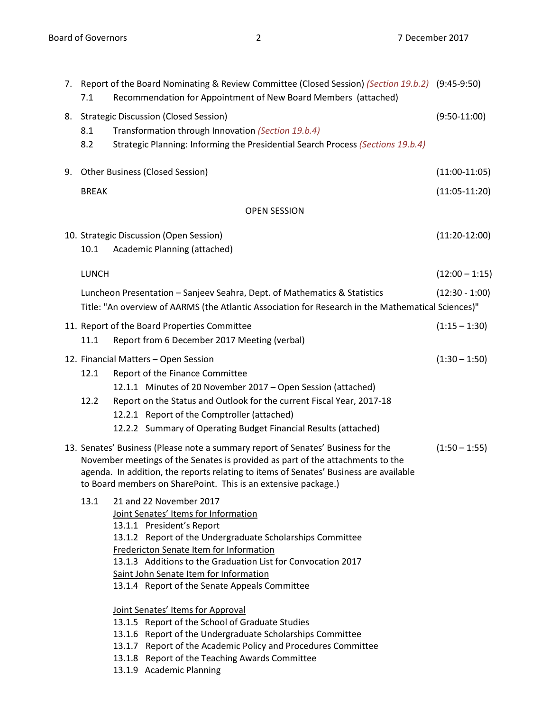|                     | 7.1          | 7. Report of the Board Nominating & Review Committee (Closed Session) (Section 19.b.2) (9:45-9:50)<br>Recommendation for Appointment of New Board Members (attached)                                                                                                                                                                                                                                                                                    |                  |  |  |  |
|---------------------|--------------|---------------------------------------------------------------------------------------------------------------------------------------------------------------------------------------------------------------------------------------------------------------------------------------------------------------------------------------------------------------------------------------------------------------------------------------------------------|------------------|--|--|--|
|                     | 8.1<br>8.2   | 8. Strategic Discussion (Closed Session)<br>Transformation through Innovation (Section 19.b.4)<br>Strategic Planning: Informing the Presidential Search Process (Sections 19.b.4)                                                                                                                                                                                                                                                                       | $(9:50-11:00)$   |  |  |  |
| 9.                  |              | <b>Other Business (Closed Session)</b>                                                                                                                                                                                                                                                                                                                                                                                                                  | $(11:00-11:05)$  |  |  |  |
|                     | <b>BREAK</b> |                                                                                                                                                                                                                                                                                                                                                                                                                                                         | $(11:05-11:20)$  |  |  |  |
| <b>OPEN SESSION</b> |              |                                                                                                                                                                                                                                                                                                                                                                                                                                                         |                  |  |  |  |
|                     | 10.1         | 10. Strategic Discussion (Open Session)<br>Academic Planning (attached)                                                                                                                                                                                                                                                                                                                                                                                 | $(11:20-12:00)$  |  |  |  |
|                     | <b>LUNCH</b> |                                                                                                                                                                                                                                                                                                                                                                                                                                                         | $(12:00 - 1:15)$ |  |  |  |
|                     |              | Luncheon Presentation - Sanjeev Seahra, Dept. of Mathematics & Statistics<br>Title: "An overview of AARMS (the Atlantic Association for Research in the Mathematical Sciences)"                                                                                                                                                                                                                                                                         | $(12:30 - 1:00)$ |  |  |  |
|                     | 11.1         | 11. Report of the Board Properties Committee<br>Report from 6 December 2017 Meeting (verbal)                                                                                                                                                                                                                                                                                                                                                            | $(1:15 - 1:30)$  |  |  |  |
|                     | 12.1<br>12.2 | 12. Financial Matters - Open Session<br>Report of the Finance Committee<br>12.1.1 Minutes of 20 November 2017 - Open Session (attached)<br>Report on the Status and Outlook for the current Fiscal Year, 2017-18<br>12.2.1 Report of the Comptroller (attached)<br>12.2.2 Summary of Operating Budget Financial Results (attached)                                                                                                                      | $(1:30 - 1:50)$  |  |  |  |
|                     |              | 13. Senates' Business (Please note a summary report of Senates' Business for the<br>November meetings of the Senates is provided as part of the attachments to the<br>agenda. In addition, the reports relating to items of Senates' Business are available<br>to Board members on SharePoint. This is an extensive package.)                                                                                                                           | $(1:50 - 1:55)$  |  |  |  |
|                     | 13.1         | 21 and 22 November 2017<br>Joint Senates' Items for Information<br>13.1.1 President's Report<br>13.1.2 Report of the Undergraduate Scholarships Committee<br>Fredericton Senate Item for Information<br>13.1.3 Additions to the Graduation List for Convocation 2017<br>Saint John Senate Item for Information<br>13.1.4 Report of the Senate Appeals Committee<br>Joint Senates' Items for Approval<br>13.1.5 Report of the School of Graduate Studies |                  |  |  |  |
|                     |              | 13.1.6 Report of the Undergraduate Scholarships Committee                                                                                                                                                                                                                                                                                                                                                                                               |                  |  |  |  |
|                     |              | 13.1.7 Report of the Academic Policy and Procedures Committee                                                                                                                                                                                                                                                                                                                                                                                           |                  |  |  |  |
|                     |              | 13.1.8 Report of the Teaching Awards Committee                                                                                                                                                                                                                                                                                                                                                                                                          |                  |  |  |  |

13.1.9 Academic Planning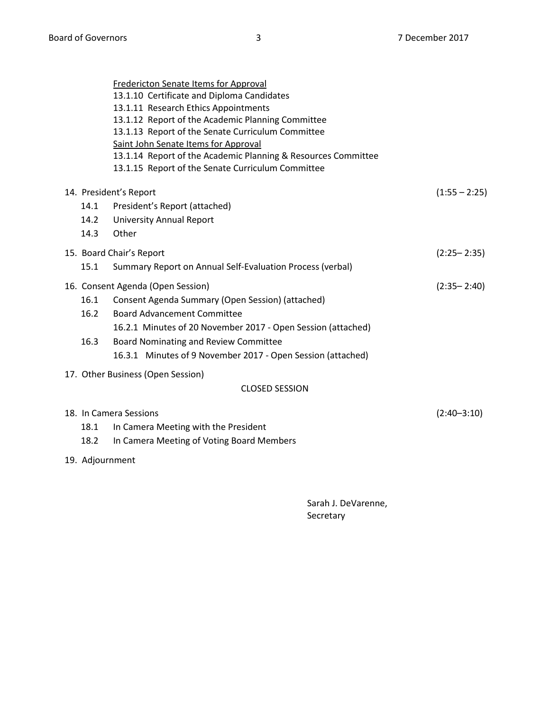|                                   |                        | <b>Fredericton Senate Items for Approval</b><br>13.1.10 Certificate and Diploma Candidates<br>13.1.11 Research Ethics Appointments<br>13.1.12 Report of the Academic Planning Committee<br>13.1.13 Report of the Senate Curriculum Committee<br>Saint John Senate Items for Approval<br>13.1.14 Report of the Academic Planning & Resources Committee<br>13.1.15 Report of the Senate Curriculum Committee |                 |  |  |
|-----------------------------------|------------------------|------------------------------------------------------------------------------------------------------------------------------------------------------------------------------------------------------------------------------------------------------------------------------------------------------------------------------------------------------------------------------------------------------------|-----------------|--|--|
|                                   | 14. President's Report |                                                                                                                                                                                                                                                                                                                                                                                                            |                 |  |  |
|                                   | 14.1                   | President's Report (attached)                                                                                                                                                                                                                                                                                                                                                                              |                 |  |  |
|                                   | 14.2                   | <b>University Annual Report</b>                                                                                                                                                                                                                                                                                                                                                                            |                 |  |  |
|                                   | 14.3                   | Other                                                                                                                                                                                                                                                                                                                                                                                                      |                 |  |  |
|                                   |                        | 15. Board Chair's Report                                                                                                                                                                                                                                                                                                                                                                                   | $(2:25 - 2:35)$ |  |  |
|                                   | 15.1                   | Summary Report on Annual Self-Evaluation Process (verbal)                                                                                                                                                                                                                                                                                                                                                  |                 |  |  |
|                                   |                        | 16. Consent Agenda (Open Session)                                                                                                                                                                                                                                                                                                                                                                          | $(2:35 - 2:40)$ |  |  |
|                                   | 16.1                   | Consent Agenda Summary (Open Session) (attached)                                                                                                                                                                                                                                                                                                                                                           |                 |  |  |
|                                   | 16.2                   | <b>Board Advancement Committee</b>                                                                                                                                                                                                                                                                                                                                                                         |                 |  |  |
|                                   |                        | 16.2.1 Minutes of 20 November 2017 - Open Session (attached)                                                                                                                                                                                                                                                                                                                                               |                 |  |  |
|                                   | 16.3                   | Board Nominating and Review Committee                                                                                                                                                                                                                                                                                                                                                                      |                 |  |  |
|                                   |                        | 16.3.1 Minutes of 9 November 2017 - Open Session (attached)                                                                                                                                                                                                                                                                                                                                                |                 |  |  |
| 17. Other Business (Open Session) |                        |                                                                                                                                                                                                                                                                                                                                                                                                            |                 |  |  |
| <b>CLOSED SESSION</b>             |                        |                                                                                                                                                                                                                                                                                                                                                                                                            |                 |  |  |
|                                   |                        | 18. In Camera Sessions                                                                                                                                                                                                                                                                                                                                                                                     | $(2:40 - 3:10)$ |  |  |
|                                   | 18.1                   | In Camera Meeting with the President                                                                                                                                                                                                                                                                                                                                                                       |                 |  |  |
|                                   | 18.2                   | In Camera Meeting of Voting Board Members                                                                                                                                                                                                                                                                                                                                                                  |                 |  |  |
|                                   | 19. Adjournment        |                                                                                                                                                                                                                                                                                                                                                                                                            |                 |  |  |
|                                   |                        |                                                                                                                                                                                                                                                                                                                                                                                                            |                 |  |  |

Sarah J. DeVarenne, Secretary